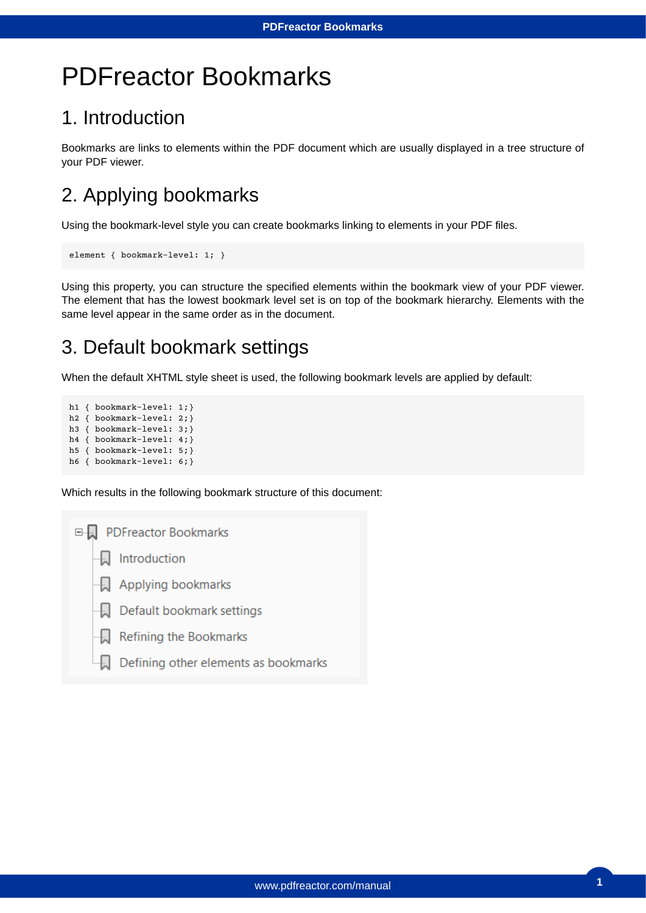## PDFreactor Bookmarks

#### 1. Introduction

Bookmarks are links to elements within the PDF document which are usually displayed in a tree structure of your PDF viewer.

### 2. Applying bookmarks

Using the bookmark-level style you can create bookmarks linking to elements in your PDF files.

```
element { bookmark-level: 1; }
```
Using this property, you can structure the specified elements within the bookmark view of your PDF viewer. The element that has the lowest bookmark level set is on top of the bookmark hierarchy. Elements with the same level appear in the same order as in the document.

### 3. Default bookmark settings

When the default XHTML style sheet is used, the following bookmark levels are applied by default:

```
h1 { bookmark-level: 1; }
h2 { bookmark-level: 2;}
h3 { bookmark-level: 3; }
h4 { bookmark-level: 4;}
h5 { bookmark-level: 5;}
h6 { bookmark-level: 6;}
```
Which results in the following bookmark structure of this document:

| <b>PDFreactor Bookmarks</b><br>머니    |
|--------------------------------------|
| Introduction                         |
| Applying bookmarks                   |
| Default bookmark settings            |
| Refining the Bookmarks               |
| Defining other elements as bookmarks |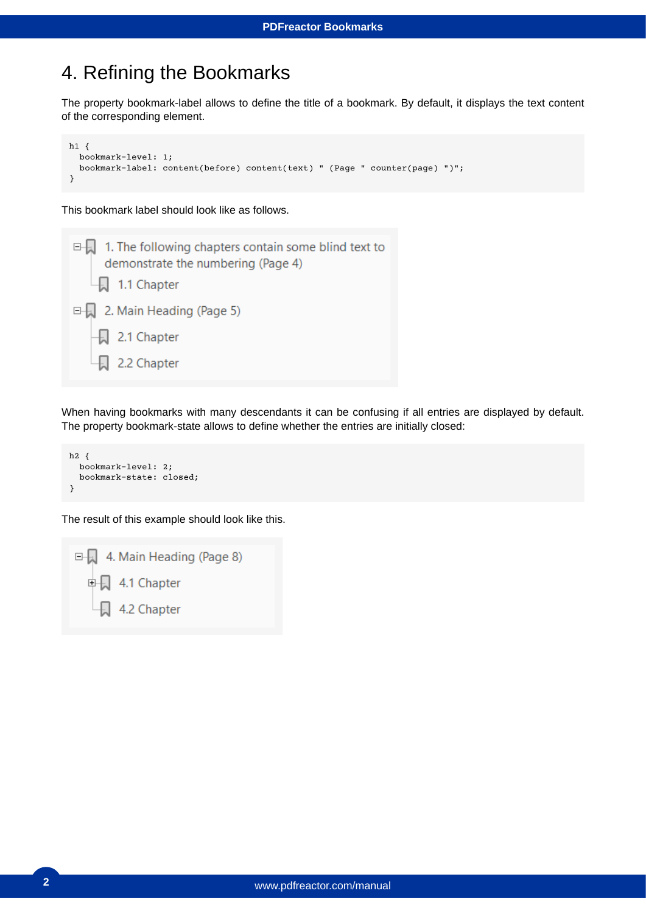#### 4. Refining the Bookmarks

The property bookmark-label allows to define the title of a bookmark. By default, it displays the text content of the corresponding element.

```
h1 { 
  bookmark-level: 1;
  bookmark-label: content(before) content(text) " (Page " counter(page) ")";
}
```
This bookmark label should look like as follows.



When having bookmarks with many descendants it can be confusing if all entries are displayed by default. The property bookmark-state allows to define whether the entries are initially closed:



The result of this example should look like this.

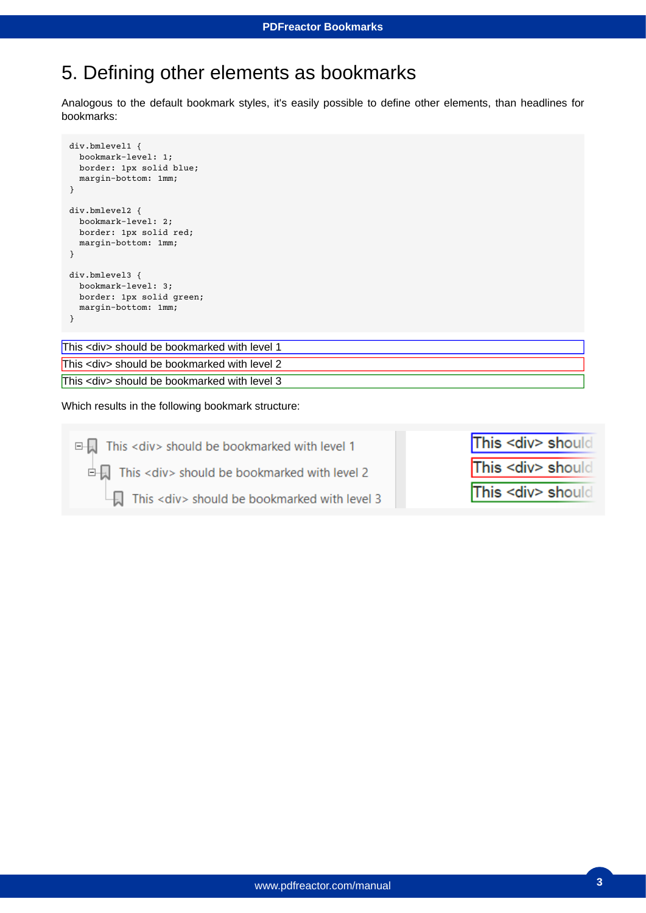#### 5. Defining other elements as bookmarks

Analogous to the default bookmark styles, it's easily possible to define other elements, than headlines for bookmarks:

```
div.bmlevel1 {
  bookmark-level: 1;
  border: 1px solid blue;
  margin-bottom: 1mm;
}
div.bmlevel2 {
  bookmark-level: 2;
  border: 1px solid red;
  margin-bottom: 1mm;
}
div.bmlevel3 {
  bookmark-level: 3;
  border: 1px solid green;
  margin-bottom: 1mm;
}
```
This <div> should be bookmarked with level 1 This <div> should be bookmarked with level 2 This <div> should be bookmarked with level 3

Which results in the following bookmark structure:

□ This <div> should be bookmarked with level 1  $\overrightarrow{D}$  This <div> should be bookmarked with level 2 This <div> should be bookmarked with level 3 This <div> should **This <div> should This <div> should**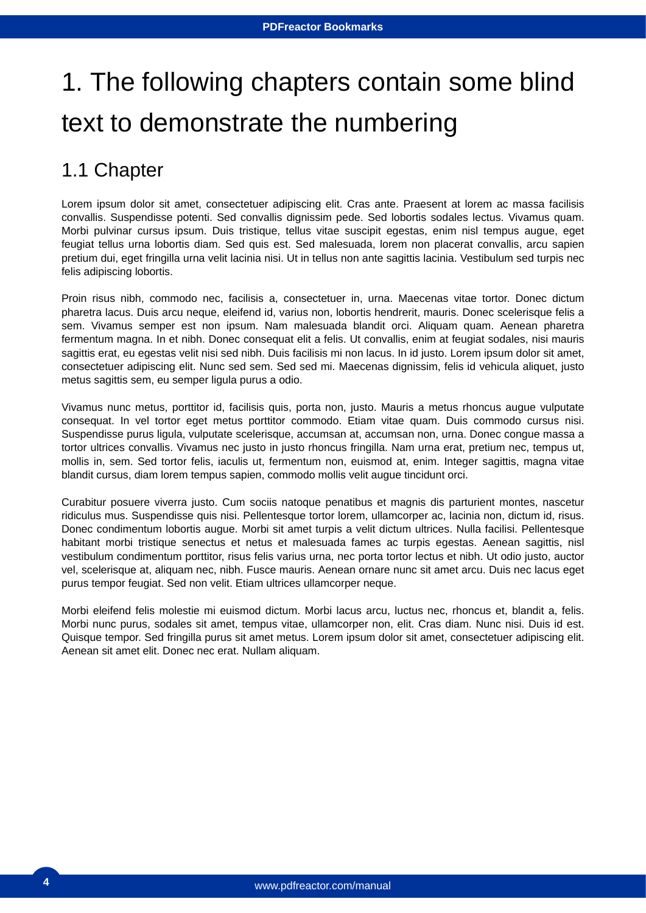# 1. The following chapters contain some blind text to demonstrate the numbering

### 1.1 Chapter

Lorem ipsum dolor sit amet, consectetuer adipiscing elit. Cras ante. Praesent at lorem ac massa facilisis convallis. Suspendisse potenti. Sed convallis dignissim pede. Sed lobortis sodales lectus. Vivamus quam. Morbi pulvinar cursus ipsum. Duis tristique, tellus vitae suscipit egestas, enim nisl tempus augue, eget feugiat tellus urna lobortis diam. Sed quis est. Sed malesuada, lorem non placerat convallis, arcu sapien pretium dui, eget fringilla urna velit lacinia nisi. Ut in tellus non ante sagittis lacinia. Vestibulum sed turpis nec felis adipiscing lobortis.

Proin risus nibh, commodo nec, facilisis a, consectetuer in, urna. Maecenas vitae tortor. Donec dictum pharetra lacus. Duis arcu neque, eleifend id, varius non, lobortis hendrerit, mauris. Donec scelerisque felis a sem. Vivamus semper est non ipsum. Nam malesuada blandit orci. Aliquam quam. Aenean pharetra fermentum magna. In et nibh. Donec consequat elit a felis. Ut convallis, enim at feugiat sodales, nisi mauris sagittis erat, eu egestas velit nisi sed nibh. Duis facilisis mi non lacus. In id justo. Lorem ipsum dolor sit amet, consectetuer adipiscing elit. Nunc sed sem. Sed sed mi. Maecenas dignissim, felis id vehicula aliquet, justo metus sagittis sem, eu semper ligula purus a odio.

Vivamus nunc metus, porttitor id, facilisis quis, porta non, justo. Mauris a metus rhoncus augue vulputate consequat. In vel tortor eget metus porttitor commodo. Etiam vitae quam. Duis commodo cursus nisi. Suspendisse purus ligula, vulputate scelerisque, accumsan at, accumsan non, urna. Donec congue massa a tortor ultrices convallis. Vivamus nec justo in justo rhoncus fringilla. Nam urna erat, pretium nec, tempus ut, mollis in, sem. Sed tortor felis, iaculis ut, fermentum non, euismod at, enim. Integer sagittis, magna vitae blandit cursus, diam lorem tempus sapien, commodo mollis velit augue tincidunt orci.

Curabitur posuere viverra justo. Cum sociis natoque penatibus et magnis dis parturient montes, nascetur ridiculus mus. Suspendisse quis nisi. Pellentesque tortor lorem, ullamcorper ac, lacinia non, dictum id, risus. Donec condimentum lobortis augue. Morbi sit amet turpis a velit dictum ultrices. Nulla facilisi. Pellentesque habitant morbi tristique senectus et netus et malesuada fames ac turpis egestas. Aenean sagittis, nisl vestibulum condimentum porttitor, risus felis varius urna, nec porta tortor lectus et nibh. Ut odio justo, auctor vel, scelerisque at, aliquam nec, nibh. Fusce mauris. Aenean ornare nunc sit amet arcu. Duis nec lacus eget purus tempor feugiat. Sed non velit. Etiam ultrices ullamcorper neque.

Morbi eleifend felis molestie mi euismod dictum. Morbi lacus arcu, luctus nec, rhoncus et, blandit a, felis. Morbi nunc purus, sodales sit amet, tempus vitae, ullamcorper non, elit. Cras diam. Nunc nisi. Duis id est. Quisque tempor. Sed fringilla purus sit amet metus. Lorem ipsum dolor sit amet, consectetuer adipiscing elit. Aenean sit amet elit. Donec nec erat. Nullam aliquam.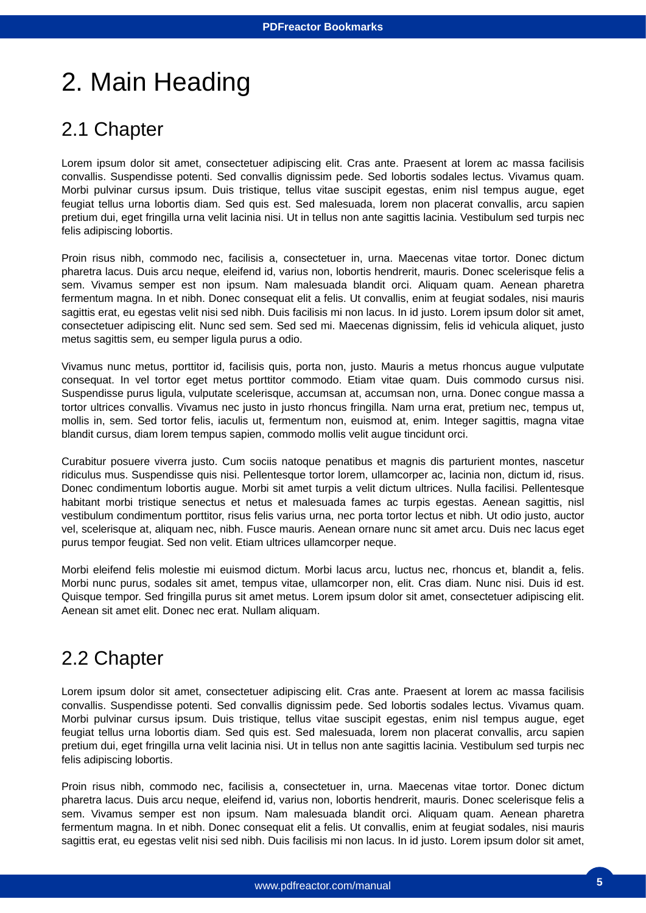### 2. Main Heading

#### 2.1 Chapter

Lorem ipsum dolor sit amet, consectetuer adipiscing elit. Cras ante. Praesent at lorem ac massa facilisis convallis. Suspendisse potenti. Sed convallis dignissim pede. Sed lobortis sodales lectus. Vivamus quam. Morbi pulvinar cursus ipsum. Duis tristique, tellus vitae suscipit egestas, enim nisl tempus augue, eget feugiat tellus urna lobortis diam. Sed quis est. Sed malesuada, lorem non placerat convallis, arcu sapien pretium dui, eget fringilla urna velit lacinia nisi. Ut in tellus non ante sagittis lacinia. Vestibulum sed turpis nec felis adipiscing lobortis.

Proin risus nibh, commodo nec, facilisis a, consectetuer in, urna. Maecenas vitae tortor. Donec dictum pharetra lacus. Duis arcu neque, eleifend id, varius non, lobortis hendrerit, mauris. Donec scelerisque felis a sem. Vivamus semper est non ipsum. Nam malesuada blandit orci. Aliquam quam. Aenean pharetra fermentum magna. In et nibh. Donec consequat elit a felis. Ut convallis, enim at feugiat sodales, nisi mauris sagittis erat, eu egestas velit nisi sed nibh. Duis facilisis mi non lacus. In id justo. Lorem ipsum dolor sit amet, consectetuer adipiscing elit. Nunc sed sem. Sed sed mi. Maecenas dignissim, felis id vehicula aliquet, justo metus sagittis sem, eu semper ligula purus a odio.

Vivamus nunc metus, porttitor id, facilisis quis, porta non, justo. Mauris a metus rhoncus augue vulputate consequat. In vel tortor eget metus porttitor commodo. Etiam vitae quam. Duis commodo cursus nisi. Suspendisse purus ligula, vulputate scelerisque, accumsan at, accumsan non, urna. Donec congue massa a tortor ultrices convallis. Vivamus nec justo in justo rhoncus fringilla. Nam urna erat, pretium nec, tempus ut, mollis in, sem. Sed tortor felis, iaculis ut, fermentum non, euismod at, enim. Integer sagittis, magna vitae blandit cursus, diam lorem tempus sapien, commodo mollis velit augue tincidunt orci.

Curabitur posuere viverra justo. Cum sociis natoque penatibus et magnis dis parturient montes, nascetur ridiculus mus. Suspendisse quis nisi. Pellentesque tortor lorem, ullamcorper ac, lacinia non, dictum id, risus. Donec condimentum lobortis augue. Morbi sit amet turpis a velit dictum ultrices. Nulla facilisi. Pellentesque habitant morbi tristique senectus et netus et malesuada fames ac turpis egestas. Aenean sagittis, nisl vestibulum condimentum porttitor, risus felis varius urna, nec porta tortor lectus et nibh. Ut odio justo, auctor vel, scelerisque at, aliquam nec, nibh. Fusce mauris. Aenean ornare nunc sit amet arcu. Duis nec lacus eget purus tempor feugiat. Sed non velit. Etiam ultrices ullamcorper neque.

Morbi eleifend felis molestie mi euismod dictum. Morbi lacus arcu, luctus nec, rhoncus et, blandit a, felis. Morbi nunc purus, sodales sit amet, tempus vitae, ullamcorper non, elit. Cras diam. Nunc nisi. Duis id est. Quisque tempor. Sed fringilla purus sit amet metus. Lorem ipsum dolor sit amet, consectetuer adipiscing elit. Aenean sit amet elit. Donec nec erat. Nullam aliquam.

#### 2.2 Chapter

Lorem ipsum dolor sit amet, consectetuer adipiscing elit. Cras ante. Praesent at lorem ac massa facilisis convallis. Suspendisse potenti. Sed convallis dignissim pede. Sed lobortis sodales lectus. Vivamus quam. Morbi pulvinar cursus ipsum. Duis tristique, tellus vitae suscipit egestas, enim nisl tempus augue, eget feugiat tellus urna lobortis diam. Sed quis est. Sed malesuada, lorem non placerat convallis, arcu sapien pretium dui, eget fringilla urna velit lacinia nisi. Ut in tellus non ante sagittis lacinia. Vestibulum sed turpis nec felis adipiscing lobortis.

Proin risus nibh, commodo nec, facilisis a, consectetuer in, urna. Maecenas vitae tortor. Donec dictum pharetra lacus. Duis arcu neque, eleifend id, varius non, lobortis hendrerit, mauris. Donec scelerisque felis a sem. Vivamus semper est non ipsum. Nam malesuada blandit orci. Aliquam quam. Aenean pharetra fermentum magna. In et nibh. Donec consequat elit a felis. Ut convallis, enim at feugiat sodales, nisi mauris sagittis erat, eu egestas velit nisi sed nibh. Duis facilisis mi non lacus. In id justo. Lorem ipsum dolor sit amet,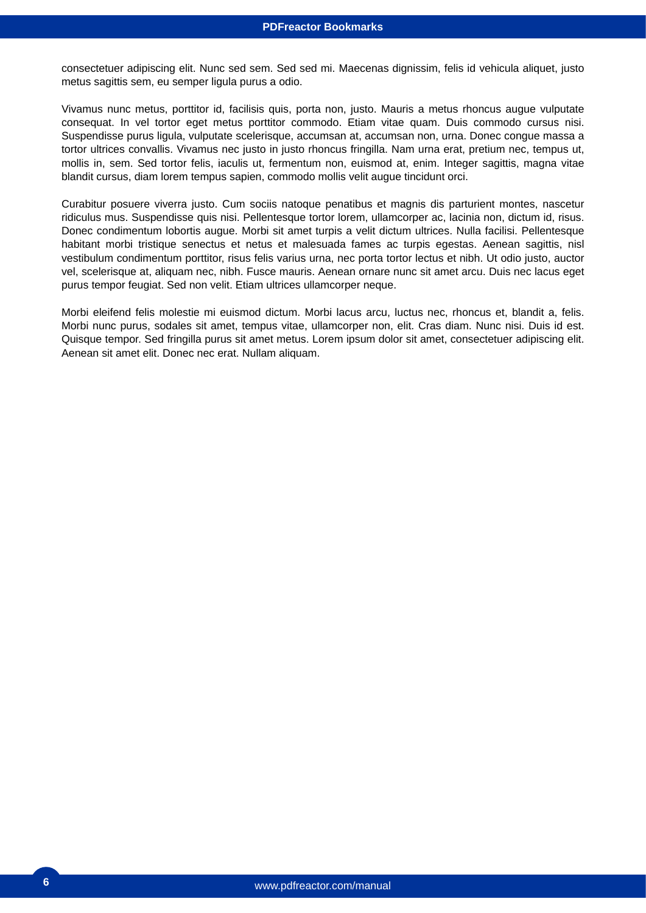consectetuer adipiscing elit. Nunc sed sem. Sed sed mi. Maecenas dignissim, felis id vehicula aliquet, justo metus sagittis sem, eu semper ligula purus a odio.

Vivamus nunc metus, porttitor id, facilisis quis, porta non, justo. Mauris a metus rhoncus augue vulputate consequat. In vel tortor eget metus porttitor commodo. Etiam vitae quam. Duis commodo cursus nisi. Suspendisse purus ligula, vulputate scelerisque, accumsan at, accumsan non, urna. Donec congue massa a tortor ultrices convallis. Vivamus nec justo in justo rhoncus fringilla. Nam urna erat, pretium nec, tempus ut, mollis in, sem. Sed tortor felis, iaculis ut, fermentum non, euismod at, enim. Integer sagittis, magna vitae blandit cursus, diam lorem tempus sapien, commodo mollis velit augue tincidunt orci.

Curabitur posuere viverra justo. Cum sociis natoque penatibus et magnis dis parturient montes, nascetur ridiculus mus. Suspendisse quis nisi. Pellentesque tortor lorem, ullamcorper ac, lacinia non, dictum id, risus. Donec condimentum lobortis augue. Morbi sit amet turpis a velit dictum ultrices. Nulla facilisi. Pellentesque habitant morbi tristique senectus et netus et malesuada fames ac turpis egestas. Aenean sagittis, nisl vestibulum condimentum porttitor, risus felis varius urna, nec porta tortor lectus et nibh. Ut odio justo, auctor vel, scelerisque at, aliquam nec, nibh. Fusce mauris. Aenean ornare nunc sit amet arcu. Duis nec lacus eget purus tempor feugiat. Sed non velit. Etiam ultrices ullamcorper neque.

Morbi eleifend felis molestie mi euismod dictum. Morbi lacus arcu, luctus nec, rhoncus et, blandit a, felis. Morbi nunc purus, sodales sit amet, tempus vitae, ullamcorper non, elit. Cras diam. Nunc nisi. Duis id est. Quisque tempor. Sed fringilla purus sit amet metus. Lorem ipsum dolor sit amet, consectetuer adipiscing elit. Aenean sit amet elit. Donec nec erat. Nullam aliquam.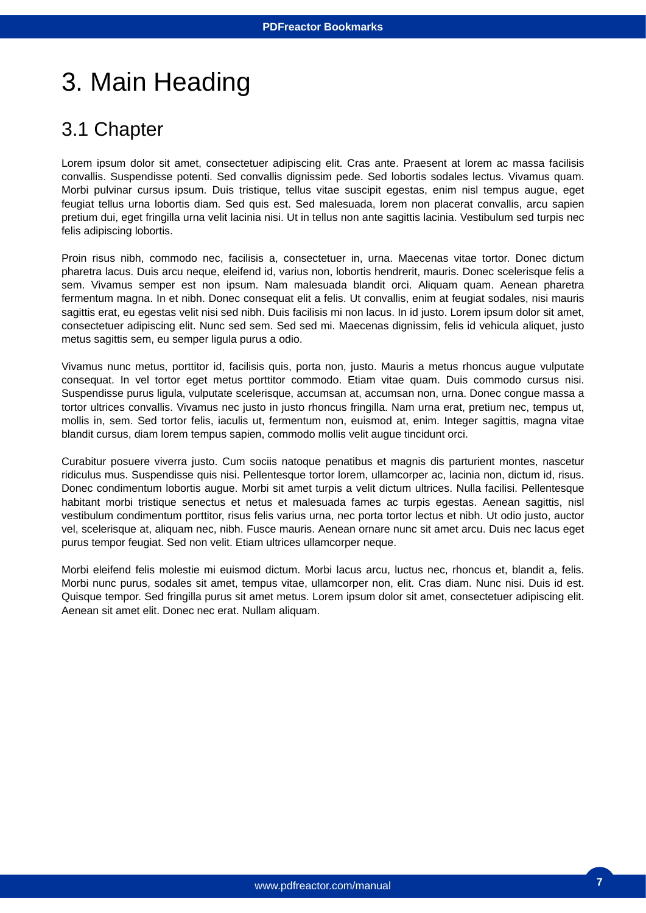### 3. Main Heading

#### 3.1 Chapter

Lorem ipsum dolor sit amet, consectetuer adipiscing elit. Cras ante. Praesent at lorem ac massa facilisis convallis. Suspendisse potenti. Sed convallis dignissim pede. Sed lobortis sodales lectus. Vivamus quam. Morbi pulvinar cursus ipsum. Duis tristique, tellus vitae suscipit egestas, enim nisl tempus augue, eget feugiat tellus urna lobortis diam. Sed quis est. Sed malesuada, lorem non placerat convallis, arcu sapien pretium dui, eget fringilla urna velit lacinia nisi. Ut in tellus non ante sagittis lacinia. Vestibulum sed turpis nec felis adipiscing lobortis.

Proin risus nibh, commodo nec, facilisis a, consectetuer in, urna. Maecenas vitae tortor. Donec dictum pharetra lacus. Duis arcu neque, eleifend id, varius non, lobortis hendrerit, mauris. Donec scelerisque felis a sem. Vivamus semper est non ipsum. Nam malesuada blandit orci. Aliquam quam. Aenean pharetra fermentum magna. In et nibh. Donec consequat elit a felis. Ut convallis, enim at feugiat sodales, nisi mauris sagittis erat, eu egestas velit nisi sed nibh. Duis facilisis mi non lacus. In id justo. Lorem ipsum dolor sit amet, consectetuer adipiscing elit. Nunc sed sem. Sed sed mi. Maecenas dignissim, felis id vehicula aliquet, justo metus sagittis sem, eu semper ligula purus a odio.

Vivamus nunc metus, porttitor id, facilisis quis, porta non, justo. Mauris a metus rhoncus augue vulputate consequat. In vel tortor eget metus porttitor commodo. Etiam vitae quam. Duis commodo cursus nisi. Suspendisse purus ligula, vulputate scelerisque, accumsan at, accumsan non, urna. Donec congue massa a tortor ultrices convallis. Vivamus nec justo in justo rhoncus fringilla. Nam urna erat, pretium nec, tempus ut, mollis in, sem. Sed tortor felis, iaculis ut, fermentum non, euismod at, enim. Integer sagittis, magna vitae blandit cursus, diam lorem tempus sapien, commodo mollis velit augue tincidunt orci.

Curabitur posuere viverra justo. Cum sociis natoque penatibus et magnis dis parturient montes, nascetur ridiculus mus. Suspendisse quis nisi. Pellentesque tortor lorem, ullamcorper ac, lacinia non, dictum id, risus. Donec condimentum lobortis augue. Morbi sit amet turpis a velit dictum ultrices. Nulla facilisi. Pellentesque habitant morbi tristique senectus et netus et malesuada fames ac turpis egestas. Aenean sagittis, nisl vestibulum condimentum porttitor, risus felis varius urna, nec porta tortor lectus et nibh. Ut odio justo, auctor vel, scelerisque at, aliquam nec, nibh. Fusce mauris. Aenean ornare nunc sit amet arcu. Duis nec lacus eget purus tempor feugiat. Sed non velit. Etiam ultrices ullamcorper neque.

Morbi eleifend felis molestie mi euismod dictum. Morbi lacus arcu, luctus nec, rhoncus et, blandit a, felis. Morbi nunc purus, sodales sit amet, tempus vitae, ullamcorper non, elit. Cras diam. Nunc nisi. Duis id est. Quisque tempor. Sed fringilla purus sit amet metus. Lorem ipsum dolor sit amet, consectetuer adipiscing elit. Aenean sit amet elit. Donec nec erat. Nullam aliquam.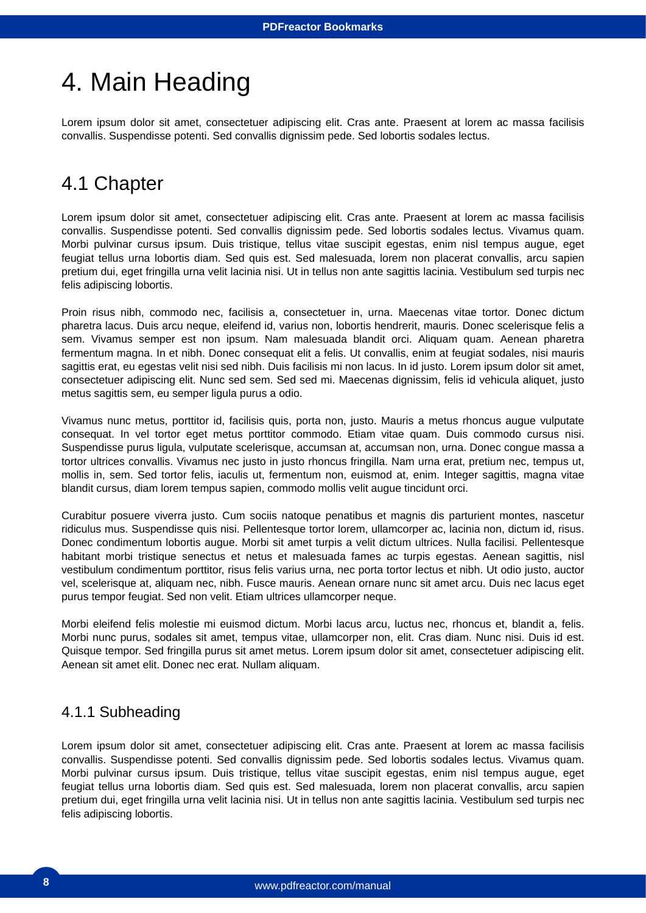### 4. Main Heading

Lorem ipsum dolor sit amet, consectetuer adipiscing elit. Cras ante. Praesent at lorem ac massa facilisis convallis. Suspendisse potenti. Sed convallis dignissim pede. Sed lobortis sodales lectus.

#### 4.1 Chapter

Lorem ipsum dolor sit amet, consectetuer adipiscing elit. Cras ante. Praesent at lorem ac massa facilisis convallis. Suspendisse potenti. Sed convallis dignissim pede. Sed lobortis sodales lectus. Vivamus quam. Morbi pulvinar cursus ipsum. Duis tristique, tellus vitae suscipit egestas, enim nisl tempus augue, eget feugiat tellus urna lobortis diam. Sed quis est. Sed malesuada, lorem non placerat convallis, arcu sapien pretium dui, eget fringilla urna velit lacinia nisi. Ut in tellus non ante sagittis lacinia. Vestibulum sed turpis nec felis adipiscing lobortis.

Proin risus nibh, commodo nec, facilisis a, consectetuer in, urna. Maecenas vitae tortor. Donec dictum pharetra lacus. Duis arcu neque, eleifend id, varius non, lobortis hendrerit, mauris. Donec scelerisque felis a sem. Vivamus semper est non ipsum. Nam malesuada blandit orci. Aliquam quam. Aenean pharetra fermentum magna. In et nibh. Donec consequat elit a felis. Ut convallis, enim at feugiat sodales, nisi mauris sagittis erat, eu egestas velit nisi sed nibh. Duis facilisis mi non lacus. In id justo. Lorem ipsum dolor sit amet, consectetuer adipiscing elit. Nunc sed sem. Sed sed mi. Maecenas dignissim, felis id vehicula aliquet, justo metus sagittis sem, eu semper ligula purus a odio.

Vivamus nunc metus, porttitor id, facilisis quis, porta non, justo. Mauris a metus rhoncus augue vulputate consequat. In vel tortor eget metus porttitor commodo. Etiam vitae quam. Duis commodo cursus nisi. Suspendisse purus ligula, vulputate scelerisque, accumsan at, accumsan non, urna. Donec congue massa a tortor ultrices convallis. Vivamus nec justo in justo rhoncus fringilla. Nam urna erat, pretium nec, tempus ut, mollis in, sem. Sed tortor felis, iaculis ut, fermentum non, euismod at, enim. Integer sagittis, magna vitae blandit cursus, diam lorem tempus sapien, commodo mollis velit augue tincidunt orci.

Curabitur posuere viverra justo. Cum sociis natoque penatibus et magnis dis parturient montes, nascetur ridiculus mus. Suspendisse quis nisi. Pellentesque tortor lorem, ullamcorper ac, lacinia non, dictum id, risus. Donec condimentum lobortis augue. Morbi sit amet turpis a velit dictum ultrices. Nulla facilisi. Pellentesque habitant morbi tristique senectus et netus et malesuada fames ac turpis egestas. Aenean sagittis, nisl vestibulum condimentum porttitor, risus felis varius urna, nec porta tortor lectus et nibh. Ut odio justo, auctor vel, scelerisque at, aliquam nec, nibh. Fusce mauris. Aenean ornare nunc sit amet arcu. Duis nec lacus eget purus tempor feugiat. Sed non velit. Etiam ultrices ullamcorper neque.

Morbi eleifend felis molestie mi euismod dictum. Morbi lacus arcu, luctus nec, rhoncus et, blandit a, felis. Morbi nunc purus, sodales sit amet, tempus vitae, ullamcorper non, elit. Cras diam. Nunc nisi. Duis id est. Quisque tempor. Sed fringilla purus sit amet metus. Lorem ipsum dolor sit amet, consectetuer adipiscing elit. Aenean sit amet elit. Donec nec erat. Nullam aliquam.

#### 4.1.1 Subheading

Lorem ipsum dolor sit amet, consectetuer adipiscing elit. Cras ante. Praesent at lorem ac massa facilisis convallis. Suspendisse potenti. Sed convallis dignissim pede. Sed lobortis sodales lectus. Vivamus quam. Morbi pulvinar cursus ipsum. Duis tristique, tellus vitae suscipit egestas, enim nisl tempus augue, eget feugiat tellus urna lobortis diam. Sed quis est. Sed malesuada, lorem non placerat convallis, arcu sapien pretium dui, eget fringilla urna velit lacinia nisi. Ut in tellus non ante sagittis lacinia. Vestibulum sed turpis nec felis adipiscing lobortis.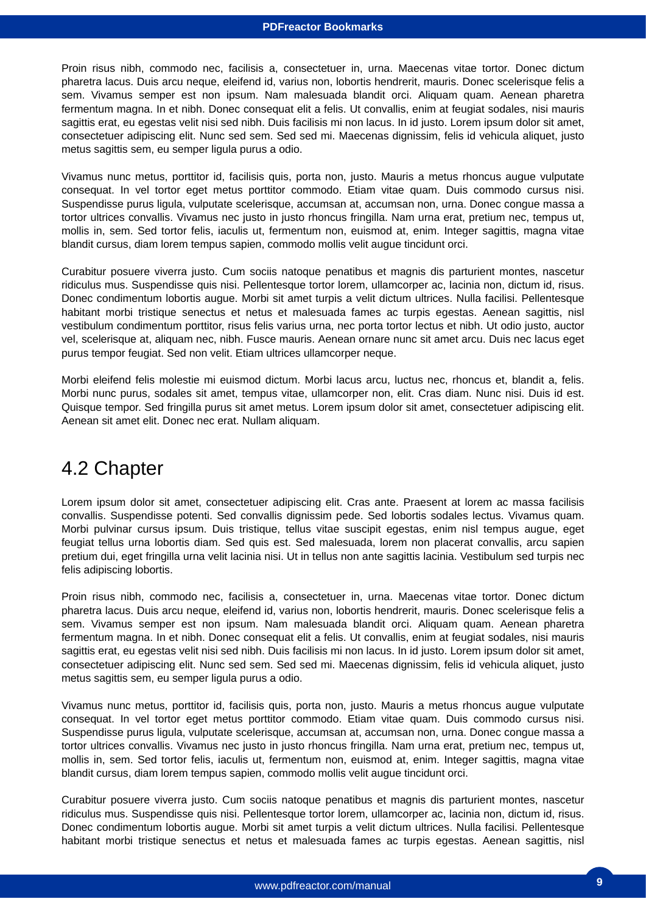Proin risus nibh, commodo nec, facilisis a, consectetuer in, urna. Maecenas vitae tortor. Donec dictum pharetra lacus. Duis arcu neque, eleifend id, varius non, lobortis hendrerit, mauris. Donec scelerisque felis a sem. Vivamus semper est non ipsum. Nam malesuada blandit orci. Aliquam quam. Aenean pharetra fermentum magna. In et nibh. Donec consequat elit a felis. Ut convallis, enim at feugiat sodales, nisi mauris sagittis erat, eu egestas velit nisi sed nibh. Duis facilisis mi non lacus. In id justo. Lorem ipsum dolor sit amet, consectetuer adipiscing elit. Nunc sed sem. Sed sed mi. Maecenas dignissim, felis id vehicula aliquet, justo metus sagittis sem, eu semper ligula purus a odio.

Vivamus nunc metus, porttitor id, facilisis quis, porta non, justo. Mauris a metus rhoncus augue vulputate consequat. In vel tortor eget metus porttitor commodo. Etiam vitae quam. Duis commodo cursus nisi. Suspendisse purus ligula, vulputate scelerisque, accumsan at, accumsan non, urna. Donec congue massa a tortor ultrices convallis. Vivamus nec justo in justo rhoncus fringilla. Nam urna erat, pretium nec, tempus ut, mollis in, sem. Sed tortor felis, iaculis ut, fermentum non, euismod at, enim. Integer sagittis, magna vitae blandit cursus, diam lorem tempus sapien, commodo mollis velit augue tincidunt orci.

Curabitur posuere viverra justo. Cum sociis natoque penatibus et magnis dis parturient montes, nascetur ridiculus mus. Suspendisse quis nisi. Pellentesque tortor lorem, ullamcorper ac, lacinia non, dictum id, risus. Donec condimentum lobortis augue. Morbi sit amet turpis a velit dictum ultrices. Nulla facilisi. Pellentesque habitant morbi tristique senectus et netus et malesuada fames ac turpis egestas. Aenean sagittis, nisl vestibulum condimentum porttitor, risus felis varius urna, nec porta tortor lectus et nibh. Ut odio justo, auctor vel, scelerisque at, aliquam nec, nibh. Fusce mauris. Aenean ornare nunc sit amet arcu. Duis nec lacus eget purus tempor feugiat. Sed non velit. Etiam ultrices ullamcorper neque.

Morbi eleifend felis molestie mi euismod dictum. Morbi lacus arcu, luctus nec, rhoncus et, blandit a, felis. Morbi nunc purus, sodales sit amet, tempus vitae, ullamcorper non, elit. Cras diam. Nunc nisi. Duis id est. Quisque tempor. Sed fringilla purus sit amet metus. Lorem ipsum dolor sit amet, consectetuer adipiscing elit. Aenean sit amet elit. Donec nec erat. Nullam aliquam.

#### 4.2 Chapter

Lorem ipsum dolor sit amet, consectetuer adipiscing elit. Cras ante. Praesent at lorem ac massa facilisis convallis. Suspendisse potenti. Sed convallis dignissim pede. Sed lobortis sodales lectus. Vivamus quam. Morbi pulvinar cursus ipsum. Duis tristique, tellus vitae suscipit egestas, enim nisl tempus augue, eget feugiat tellus urna lobortis diam. Sed quis est. Sed malesuada, lorem non placerat convallis, arcu sapien pretium dui, eget fringilla urna velit lacinia nisi. Ut in tellus non ante sagittis lacinia. Vestibulum sed turpis nec felis adipiscing lobortis.

Proin risus nibh, commodo nec, facilisis a, consectetuer in, urna. Maecenas vitae tortor. Donec dictum pharetra lacus. Duis arcu neque, eleifend id, varius non, lobortis hendrerit, mauris. Donec scelerisque felis a sem. Vivamus semper est non ipsum. Nam malesuada blandit orci. Aliquam quam. Aenean pharetra fermentum magna. In et nibh. Donec consequat elit a felis. Ut convallis, enim at feugiat sodales, nisi mauris sagittis erat, eu egestas velit nisi sed nibh. Duis facilisis mi non lacus. In id justo. Lorem ipsum dolor sit amet, consectetuer adipiscing elit. Nunc sed sem. Sed sed mi. Maecenas dignissim, felis id vehicula aliquet, justo metus sagittis sem, eu semper ligula purus a odio.

Vivamus nunc metus, porttitor id, facilisis quis, porta non, justo. Mauris a metus rhoncus augue vulputate consequat. In vel tortor eget metus porttitor commodo. Etiam vitae quam. Duis commodo cursus nisi. Suspendisse purus ligula, vulputate scelerisque, accumsan at, accumsan non, urna. Donec congue massa a tortor ultrices convallis. Vivamus nec justo in justo rhoncus fringilla. Nam urna erat, pretium nec, tempus ut, mollis in, sem. Sed tortor felis, iaculis ut, fermentum non, euismod at, enim. Integer sagittis, magna vitae blandit cursus, diam lorem tempus sapien, commodo mollis velit augue tincidunt orci.

Curabitur posuere viverra justo. Cum sociis natoque penatibus et magnis dis parturient montes, nascetur ridiculus mus. Suspendisse quis nisi. Pellentesque tortor lorem, ullamcorper ac, lacinia non, dictum id, risus. Donec condimentum lobortis augue. Morbi sit amet turpis a velit dictum ultrices. Nulla facilisi. Pellentesque habitant morbi tristique senectus et netus et malesuada fames ac turpis egestas. Aenean sagittis, nisl